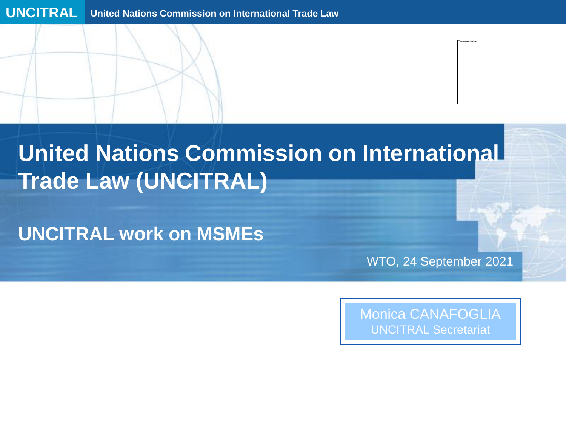# **United Nations Commission on International Trade Law (UNCITRAL)**

**UNCITRAL work on MSMEs** 

WTO, 24 September 2021

Monica CANAFOGLIA UNCITRAL Secretariat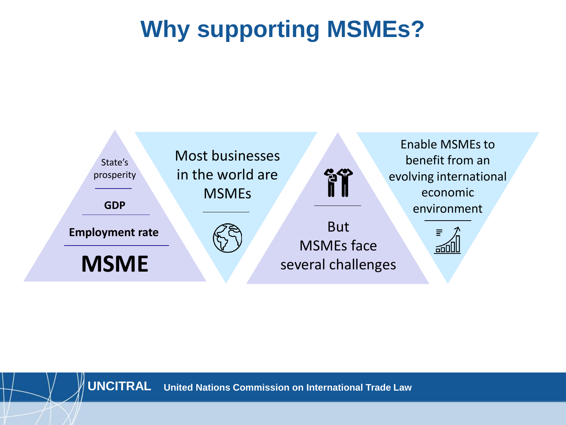# **Why supporting MSMEs?**

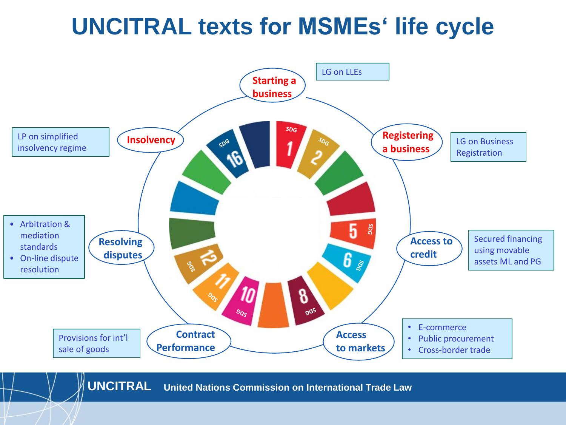## **UNCITRAL texts for MSMEs' life cycle**

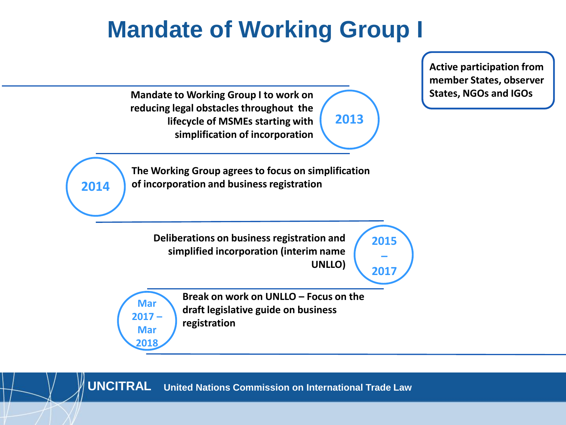# **Mandate of Working Group I**

**2015 – 2017 The Working Group agrees to focus on simplification of incorporation and business registration Deliberations on business registration and simplified incorporation (interim name UNLLO) Mandate to Working Group I to work on reducing legal obstacles throughout the lifecycle of MSMEs starting with simplification of incorporation 2014 Mar 2017 – Mar 2018 2013 Break on work on UNLLO – Focus on the draft legislative guide on business registration Active participation from member States, observer States, NGOs and IGOs**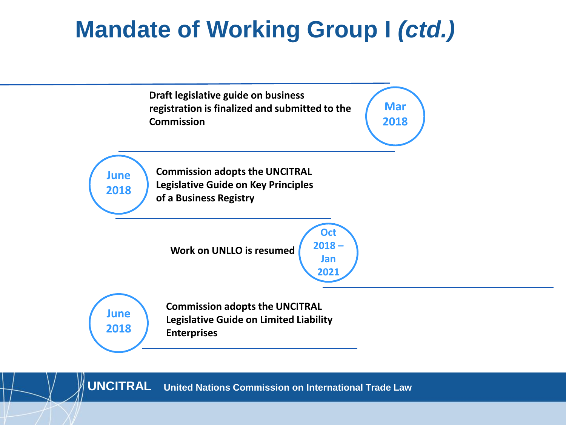# **Mandate of Working Group I** *(ctd.)*

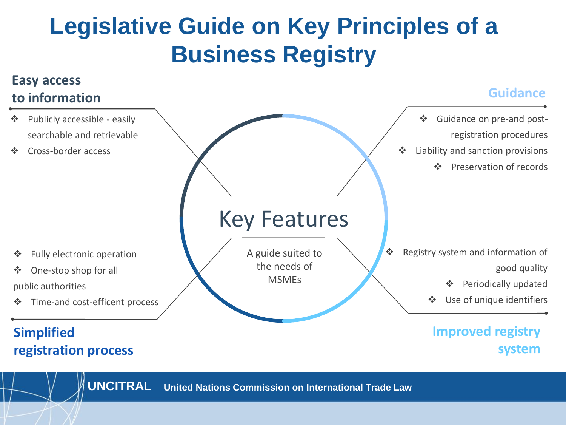# **Legislative Guide on Key Principles of a Business Registry**

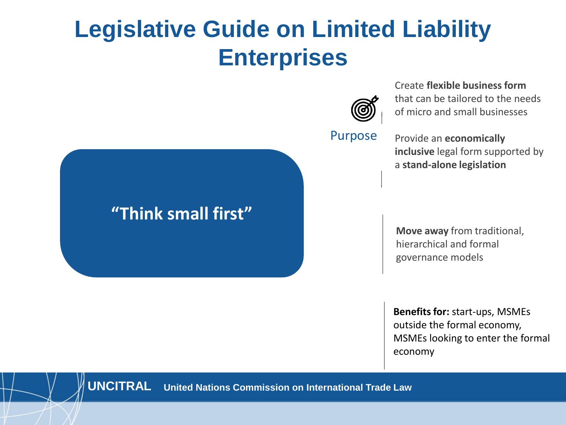## **Legislative Guide on Limited Liability Enterprises**

**first"**

**"Think small first"**



Create **flexible business form**  that can be tailored to the needs of micro and small businesses

Provide an **economically inclusive** legal form supported by a **stand-alone legislation**

**Move away** from traditional, hierarchical and formal governance models

**Benefits for:** start-ups, MSMEs outside the formal economy, MSMEs looking to enter the formal economy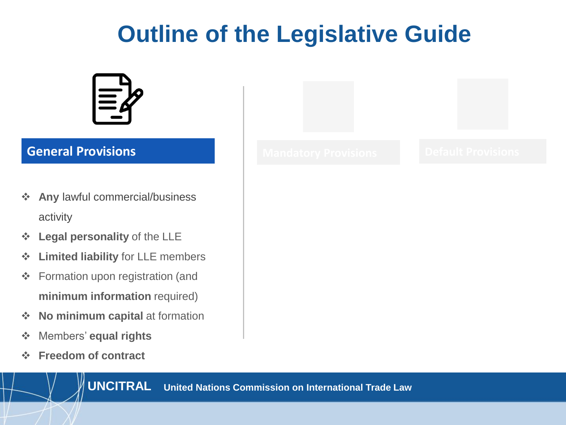# **Outline of the Legislative Guide**



## **General Provisions**

- ❖ **Any** lawful commercial/business activity
- ❖ **Legal personality** of the LLE
- ❖ **Limited liability** for LLE members
- ❖ Formation upon registration (and **minimum information** required)
- ❖ **No minimum capital** at formation
- ❖ Members' **equal rights**
- ❖ **Freedom of contract**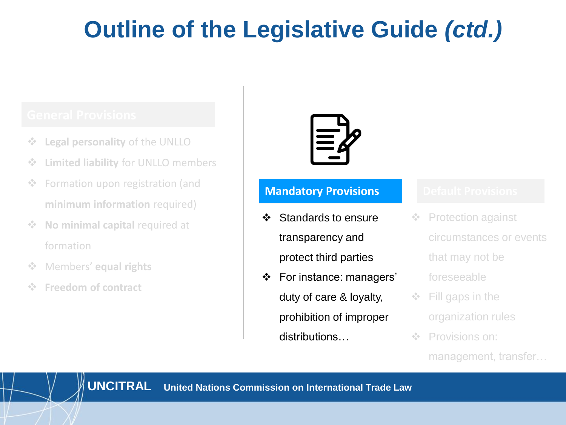# **Outline of the Legislative Guide** *(ctd.)*

- ❖ **Legal personality** of the UNLLO
- ❖ **Limited liability** for UNLLO members
- ❖ Formation upon registration (and **minimum information** required)
- ❖ **No minimal capital** required at formation
- ❖ Members' **equal rights**
- ❖ **Freedom of contract**



## **Mandatory Provisions**

- ❖ Standards to ensure transparency and protect third parties
- ❖ For instance: managers' duty of care & loyalty, prohibition of improper distributions…

- ❖ Protection against circumstances or events that may not be foreseeable
- ❖ Fill gaps in the organization rules
- ❖ Provisions on:
	- management, transfer…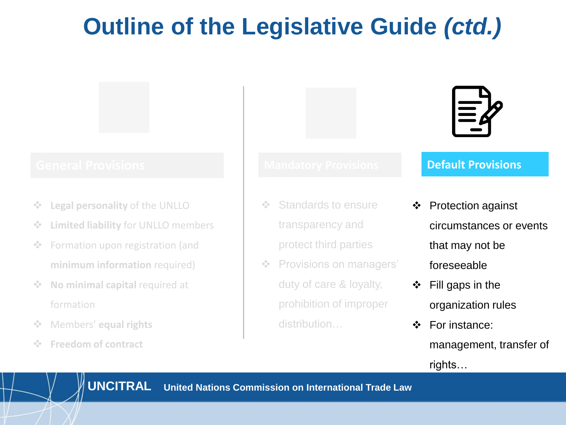# **Outline of the Legislative Guide** *(ctd.)*

## **General Provisions Default Provisions**

- **Legal personality of the UNLLO**
- ❖ **Limited liability** for UNLLO members
- ❖ Formation upon registration (and **minimum information** required)
- ❖ **No minimal capital** required at formation
- ❖ Members' **equal rights**
- **Freedom of contract**

- ❖ Standards to ensure transparency and protect third parties
- ❖ Provisions on managers' duty of care & loyalty, prohibition of improper distribution…



- ❖ Protection against circumstances or events that may not be foreseeable
- ❖ Fill gaps in the organization rules
- ❖ For instance: management, transfer of rights…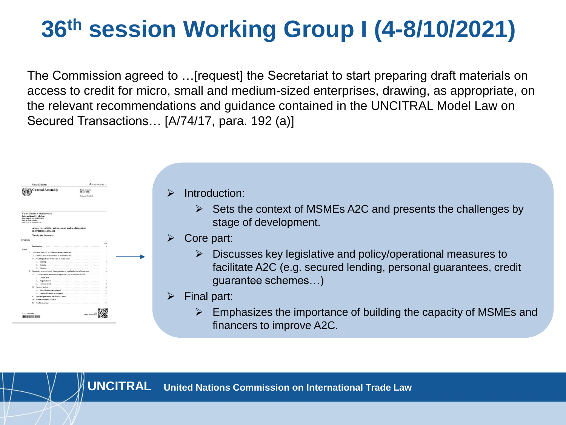# **36th session Working Group I (4-8/10/2021)**

The Commission agreed to …[request] the Secretariat to start preparing draft materials on access to credit for micro, small and medium-sized enterprises, drawing, as appropriate, on the relevant recommendations and guidance contained in the UNCITRAL Model Law on Secured Transactions… [A/74/17, para. 192 (a)]



- Introduction:
	- $\triangleright$  Sets the context of MSMEs A2C and presents the challenges by stage of development.
- Core part:
	- ➢ Discusses key legislative and policy/operational measures to facilitate A2C (e.g. secured lending, personal guarantees, credit guarantee schemes…)
- $\triangleright$  Final part:
	- ➢ Emphasizes the importance of building the capacity of MSMEs and financers to improve A2C.